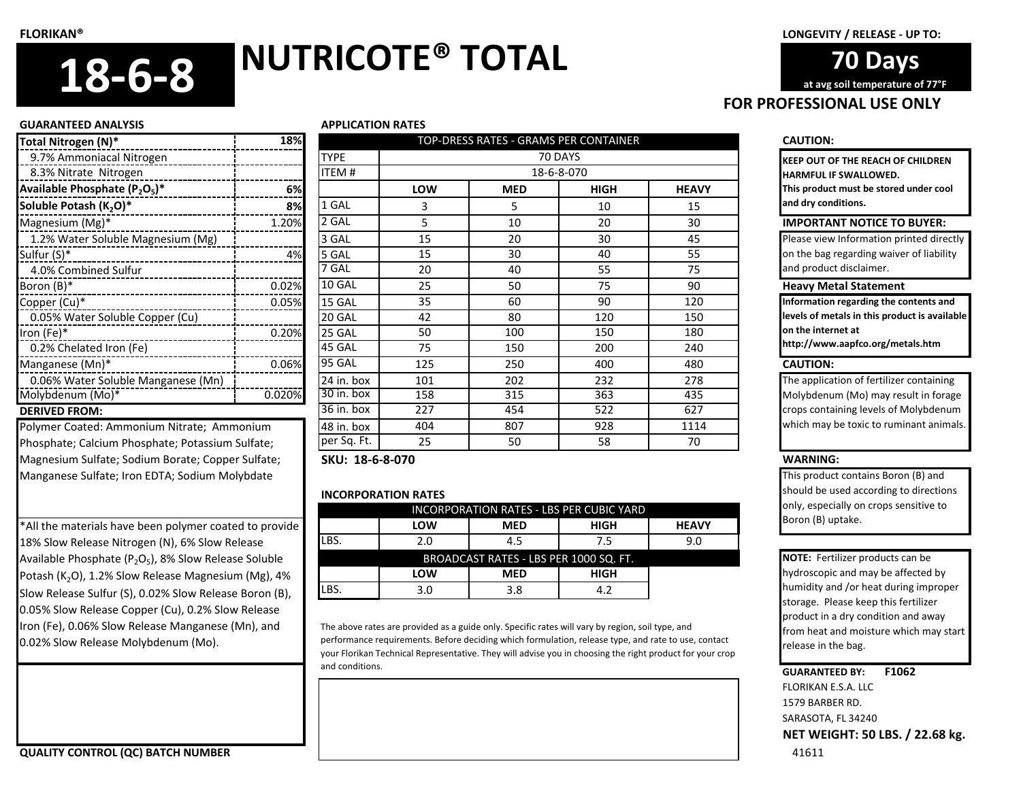## **FOR PROFESSIONAL USE ONLY 70 Days at avg soil temperature of 77°F**

#### **GUARANTEED ANALYSIS APPLICATION RATES**

| Total Nitrogen (N)*                | 18%    |               |
|------------------------------------|--------|---------------|
| 9.7% Ammoniacal Nitrogen           |        | TYPE          |
| 8.3% Nitrate Nitrogen              |        | <b>ITEM#</b>  |
| Available Phosphate $(P_2O_5)^*$   | 6%     |               |
| Soluble Potash (K <sub>2</sub> O)* | 8%     | 1 GAL         |
| Magnesium $(Mg)^*$                 | 1.20%  | 2 GAL         |
| 1.2% Water Soluble Magnesium (Mg)  |        | 3 GAL         |
| Sulfur (S)*                        | 4%     | 5 GAL         |
| 4.0% Combined Sulfur               |        | 7 GAL         |
| Boron (B)*                         | 0.02%  | 10 GAL        |
| Copper (Cu)*                       | 0.05%  | 15 GAL        |
| 0.05% Water Soluble Copper (Cu)    |        | 20 GAL        |
| Iron $(Fe)^*$                      | 0.20%  | 25 GAL        |
| 0.2% Chelated Iron (Fe)            |        | 45 GAL        |
| Manganese (Mn)*                    | 0.06%  | <b>95 GAL</b> |
| 0.06% Water Soluble Manganese (Mn) |        | 24 in. box    |
| Molybdenum (Mo)*                   | 0.020% | 30 in. box    |
| <b>DERIVED FROM:</b>               |        | 36 in. box    |

Polymer Coated: Ammonium Nitrate; Ammonium Phosphate; Calcium Phosphate; Potassium Sulfate; Magnesium Sulfate; Sodium Borate; Copper Sulfate; Manganese Sulfate; Iron EDTA; Sodium Molybdate

\*All the materials have been polymer coated to provide 18% Slow Release Nitrogen (N), 6% Slow Release Available Phosphate ( $P_2O_5$ ), 8% Slow Release Soluble Potash (K<sub>2</sub>O), 1.2% Slow Release Magnesium (Mg), 4% Slow Release Sulfur (S), 0.02% Slow Release Boron (B), 0.05% Slow Release Copper (Cu), 0.2% Slow Release Iron (Fe), 0.06% Slow Release Manganese (Mn), and 0.02% Slow Release Molybdenum (Mo).

| Total Nitrogen (N)*                              | 18%    |                         |            | TOP-DRESS RATES - GRAMS PER CONTAINER |             |              | <b>CAUTION:</b>   |
|--------------------------------------------------|--------|-------------------------|------------|---------------------------------------|-------------|--------------|-------------------|
| 9.7% Ammoniacal Nitrogen                         |        | <b>TYPE</b>             |            | 70 DAYS                               |             |              | <b>KEEP OUT O</b> |
| 8.3% Nitrate Nitrogen                            |        | <b>ITEM#</b>            |            | 18-6-8-070                            |             |              | <b>HARMFUL II</b> |
| Available Phosphate $(P_2O_5)^*$                 | 6%l    |                         | <b>LOW</b> | <b>MED</b>                            | <b>HIGH</b> | <b>HEAVY</b> | This produc       |
| Soluble Potash (K <sub>2</sub> O)*               | 8%     | 1 GAL                   |            | 5                                     | 10          | 15           | and dry con       |
| Magnesium (Mg)*                                  | 1.20%  | 2 GAL                   | 5.         | 10                                    | 20          | 30           | <b>IMPORTA</b>    |
| 1.2% Water Soluble Magnesium (Mg)                |        | 3 GAL                   | 15         | 20                                    | 30          | 45           | Please view       |
| Sulfur (S)*                                      | 4%     | 5 GAL                   | 15         | 30                                    | 40          | 55           | on the bag        |
| 4.0% Combined Sulfur                             |        | 7 GAL                   | 20         | 40                                    | 55          | 75           | and produc        |
| Boron (B)*<br>------------------                 | 0.02%  | 10 GAL                  | 25         | 50                                    | 75          | 90           | <b>Heavy Me</b>   |
| Copper (Cu)*                                     | 0.05%  | 15 GAL                  | 35         | 60                                    | 90          | 120          | Information       |
| 0.05% Water Soluble Copper (Cu)                  |        | 20 GAL                  | 42         | 80                                    | 120         | 150          | levels of me      |
| Iron (Fe)*                                       | 0.20%  | 25 GAL                  | 50         | 100                                   | 150         | 180          | on the inter      |
| 0.2% Chelated Iron (Fe)                          |        | 45 GAL                  | 75         | 150                                   | 200         | 240          | http://wwv        |
| Manganese (Mn)*                                  | 0.06%  | <b>95 GAL</b>           | 125        | 250                                   | 400         | 480          | <b>CAUTION:</b>   |
| 0.06% Water Soluble Manganese (Mn)               |        | 24 in. box              | 101        | 202                                   | 232         | 278          | The applica       |
| Molybdenum (Mo)*                                 | 0.020% | 30 in. box              | 158        | 315                                   | 363         | 435          | Molybdenu         |
| <b>DERIVED FROM:</b>                             |        | $\overline{36}$ in. box | 227        | 454                                   | 522         | 627          | crops conta       |
| Polymer Coated: Ammonium Nitrate; Ammonium       |        | 48 in. box              | 404        | 807                                   | 928         | 1114         | which may         |
| Phosphate; Calcium Phosphate; Potassium Sulfate; |        | per Sq. Ft.             | 25         | 50                                    | 58          | 70           |                   |

**SKU: 18-6-8-070 WARNING:**

## **INCORPORATION RATES**

| INCORPORATION RATES - LBS PER CUBIC YARD |            |             |              |  |  |  |
|------------------------------------------|------------|-------------|--------------|--|--|--|
| <b>LOW</b>                               | <b>MED</b> | HIGH        | <b>HEAVY</b> |  |  |  |
| 2.0                                      | 4.5        | 7.5         | 9.0          |  |  |  |
| BROADCAST RATES - LBS PER 1000 SQ. FT.   |            |             |              |  |  |  |
| <b>LOW</b>                               | <b>MED</b> | <b>HIGH</b> |              |  |  |  |
| 3.0                                      | 3.8        | 4.2         |              |  |  |  |
|                                          |            |             |              |  |  |  |

The above rates are provided as a guide only. Specific rates will vary by region, soil type, and performance requirements. Before deciding which formulation, release type, and rate to use, contact your Florikan Technical Representative. They will advise you in choosing the right product for your crop and conditions.

**KEEP OUT OF THE REACH OF CHILDREN HARMFUL IF SWALLOWED. This product must be stored under cool and dry conditions.**

## **IMPORTANT NOTICE TO BUYER:**

Please view Information printed directly on the bag regarding waiver of liability and product disclaimer.

## **Heavy Metal Statement**

**Information regarding the contents and levels of metals in this product is available on the internet at** 

**http://www.aapfco.org/metals.htm**

The application of fertilizer containing Molybdenum (Mo) may result in forage crops containing levels of Molybdenum which may be toxic to ruminant animals.

This product contains Boron (B) and should be used according to directions only, especially on crops sensitive to Boron (B) uptake.

**NOTE:** Fertilizer products can be hydroscopic and may be affected by humidity and /or heat during improper storage. Please keep this fertilizer product in a dry condition and away from heat and moisture which may start release in the bag.

## **GUARANTEED BY: F1062**

FLORIKAN E.S.A. LLC 1579 BARBER RD. SARASOTA, FL 34240 **NET WEIGHT: 50 LBS. / 22.68 kg.**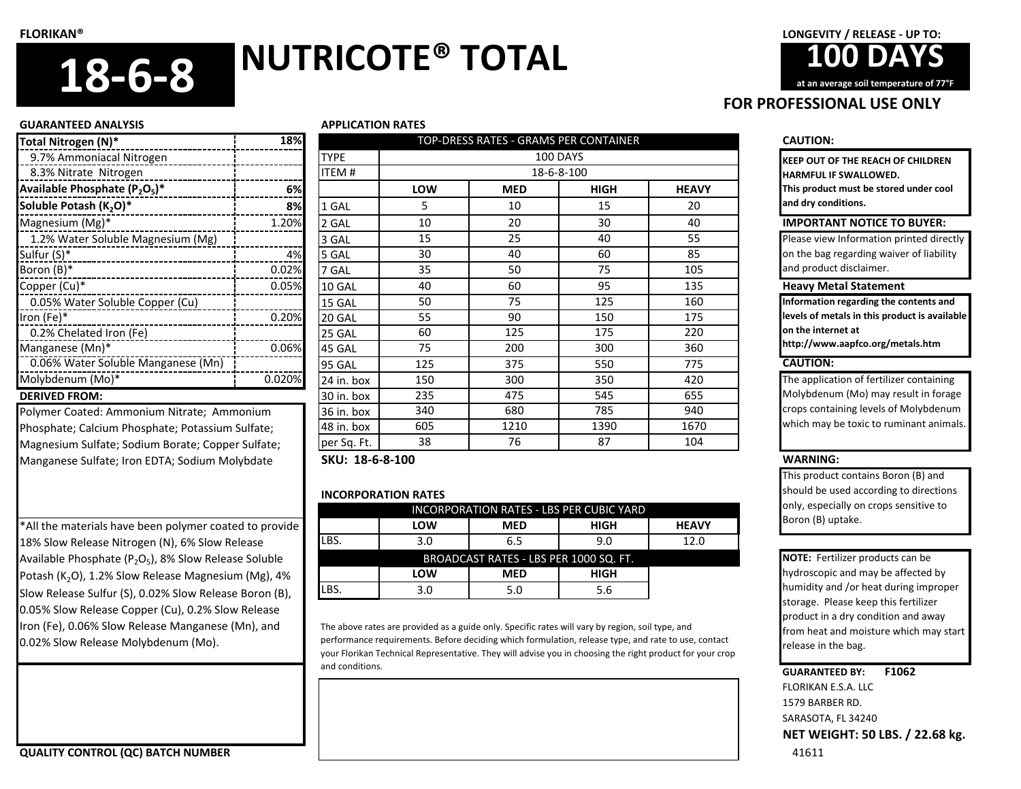

## **GUARANTEED ANALYSIS APPLICATION RATES**

## 9.7% Ammoniacal Nitrogen 8.3% Nitrate Nitrogen **Available Phosphate (P2O<sup>5</sup> )\* 6% Soluble Potash (K<sub>2</sub>O)\* 1 GALL 8%** 1.2% Water Soluble Magnesium (Mg)  $\mathsf{Sulfur}\left(\mathsf{S}\right)^{\mathsf{*}}$  4% Boron (B) $^*$  Galaxies 7 Galaxies 7 Galaxies 7 Galaxies 7 Galaxies 7 Galaxies 7 Galaxies 7 Galaxies 7 Galaxies 7 Galaxies 7 Galaxies 7 Galaxies 7 Galaxies 7 Galaxies 7 Galaxies 7 Galaxies 7 Galaxies 7 Galaxies 7 Galaxies 0.05% Water Soluble Copper (Cu) Iron (Fe)\* 0.20% 20 GAL 0.2% Chelated Iron (Fe)  $M$ anganese (Mn)\*  $\qquad \qquad$ 5 GALL 10.06% Molybdenum (Mo)\* 1 0.020% **DERIVED FROM:**

Polymer Coated: Ammonium Nitrate; Ammonium Phosphate; Calcium Phosphate; Potassium Sulfate; Magnesium Sulfate; Sodium Borate; Copper Sulfate; Manganese Sulfate; Iron EDTA; Sodium Molybdate

\*All the materials have been polymer coated to provide 18% Slow Release Nitrogen (N), 6% Slow Release Available Phosphate ( $P_2O_5$ ), 8% Slow Release Soluble Potash (K<sub>2</sub>O), 1.2% Slow Release Magnesium (Mg), 4% Slow Release Sulfur (S), 0.02% Slow Release Boron (B), 0.05% Slow Release Copper (Cu), 0.2% Slow Release Iron (Fe), 0.06% Slow Release Manganese (Mn), and 0.02% Slow Release Molybdenum (Mo).

| Total Nitrogen (N)*                               | 18%    |                 | TOP-DRESS RATES - GRAMS PER CONTAINER |            |             |              | <b>CAUTION:</b>                           |
|---------------------------------------------------|--------|-----------------|---------------------------------------|------------|-------------|--------------|-------------------------------------------|
| 9.7% Ammoniacal Nitrogen                          |        | <b>TYPE</b>     |                                       |            | 100 DAYS    |              | <b>KEEP OUT OF THE REACH OF CHILDREI</b>  |
| 8.3% Nitrate Nitrogen                             |        | <b>ITEM#</b>    |                                       |            | 18-6-8-100  |              | <b>HARMFUL IF SWALLOWED.</b>              |
| Available Phosphate $(P_2O_5)^*$                  | 6%     |                 | <b>LOW</b>                            | <b>MED</b> | <b>HIGH</b> | <b>HEAVY</b> | This product must be stored under coo     |
| Soluble Potash (K <sub>2</sub> O)*                | 8%     | 1 GAL           | 5                                     | 10         | 15          | 20           | and dry conditions.                       |
| Magnesium (Mg)*                                   | 1.20%  | 2 GAL           | 10                                    | 20         | 30          | 40           | <b>IMPORTANT NOTICE TO BUYER:</b>         |
| 1.2% Water Soluble Magnesium (Mg)                 |        | 3 GAL           | 15                                    | 25         | 40          | 55           | Please view Information printed dire      |
| Sulfur (S)*                                       | 4%     | 5 GAL           | 30                                    | 40         | 60          | 85           | on the bag regarding waiver of liabili    |
| Boron (B)*                                        | 0.02%  | 7 GAL           | 35                                    | 50         | 75          | 105          | and product disclaimer.                   |
| Copper (Cu)*                                      | 0.05%  | 10 GAL          | 40                                    | 60         | 95          | 135          | <b>Heavy Metal Statement</b>              |
| 0.05% Water Soluble Copper (Cu)                   |        | 15 GAL          | 50                                    | 75         | 125         | 160          | Information regarding the contents ar     |
| Iron (Fe)*                                        | 0.20%  | 20 GAL          | 55                                    | 90         | 150         | 175          | levels of metals in this product is avail |
| 0.2% Chelated Iron (Fe)                           |        | 25 GAL          | 60                                    | 125        | 175         | 220          | on the internet at                        |
| Manganese (Mn)*                                   | 0.06%  | 45 GAL          | 75                                    | 200        | 300         | 360          | http://www.aapfco.org/metals.htm          |
| 0.06% Water Soluble Manganese (Mn)                |        | 95 GAL          | 125                                   | 375        | 550         | 775          | <b>CAUTION:</b>                           |
| Molybdenum (Mo)*                                  | 0.020% | 24 in. box      | 150                                   | 300        | 350         | 420          | The application of fertilizer containir   |
| <b>DERIVED FROM:</b>                              |        | 30 in. box      | 235                                   | 475        | 545         | 655          | Molybdenum (Mo) may result in fora        |
| Polymer Coated: Ammonium Nitrate; Ammonium        |        | 36 in. box      | 340                                   | 680        | 785         | 940          | crops containing levels of Molybden       |
| Phosphate; Calcium Phosphate; Potassium Sulfate;  |        | 48 in. box      | 605                                   | 1210       | 1390        | 1670         | which may be toxic to ruminant anin       |
| Magnesium Sulfate; Sodium Borate; Copper Sulfate; |        | per Sq. Ft.     | 38                                    | 76         | 87          | 104          |                                           |
| Manganese Sulfate: Iron EDTA: Sodium Molybdate    |        | SKU: 18-6-8-100 |                                       |            |             |              | <b>WARNING:</b>                           |

## **INCORPORATION RATES**

| INCORPORATION RATES - LBS PER CUBIC YARD |     |            |             |              |  |  |
|------------------------------------------|-----|------------|-------------|--------------|--|--|
|                                          | LOW | <b>MED</b> | HIGH        | <b>HEAVY</b> |  |  |
| LBS.                                     | 3.0 | 6.5        | 9.0         | 12.0         |  |  |
| BROADCAST RATES - LBS PER 1000 SQ. FT.   |     |            |             |              |  |  |
|                                          | LOW | <b>MED</b> | <b>HIGH</b> |              |  |  |
| LBS.                                     | 3.0 | 5.0        | 5.6         |              |  |  |

The above rates are provided as a guide only. Specific rates will vary by region, soil type, and performance requirements. Before deciding which formulation, release type, and rate to use, contact your Florikan Technical Representative. They will advise you in choosing the right product for your crop and conditions.

**FOR PROFESSIONAL USE ONLY**

**KEEP OUT OF THE REACH OF CHILDREN HARMFUL IF SWALLOWED. This product must be stored under cool and dry conditions.**

Please view Information printed directly on the bag regarding waiver of liability and product disclaimer.

**Information regarding the contents and levels of metals in this product is available on the internet at** 

The application of fertilizer containing Molybdenum (Mo) may result in forage crops containing levels of Molybdenum which may be toxic to ruminant animals.

This product contains Boron (B) and should be used according to directions only, especially on crops sensitive to Boron (B) uptake.

**NOTE:** Fertilizer products can be hydroscopic and may be affected by humidity and /or heat during improper storage. Please keep this fertilizer product in a dry condition and away from heat and moisture which may start release in the bag.

## **GUARANTEED BY: F1062**

FLORIKAN E.S.A. LLC 1579 BARBER RD. SARASOTA, FL 34240 **NET WEIGHT: 50 LBS. / 22.68 kg.**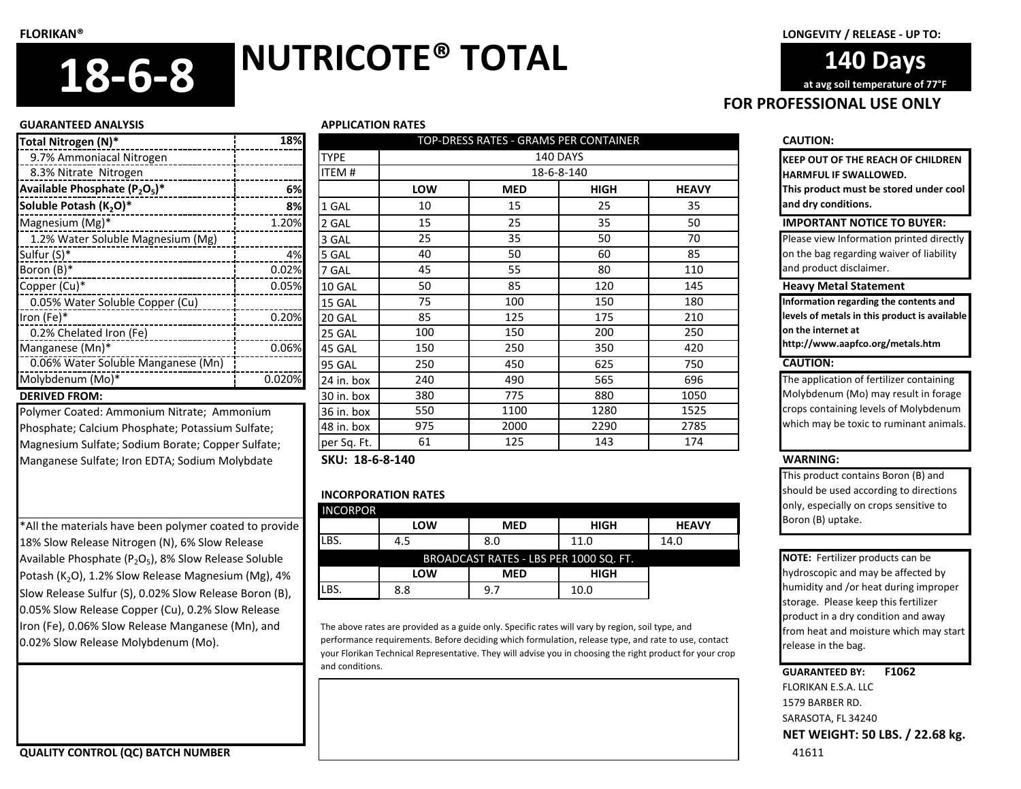**140 Days at avg soil temperature of 77°F**

#### **GUARANTEED ANALYSIS APPLICATION RATES**

| Total Nitrogen (N)*                | 18%    |             |
|------------------------------------|--------|-------------|
| 9.7% Ammoniacal Nitrogen           |        | <b>TYPE</b> |
| 8.3% Nitrate Nitrogen              |        | ITEM#       |
| Available Phosphate $(P_2O_5)^*$   | 6%     |             |
| Soluble Potash (K <sub>2</sub> O)* | 8%     | 1 GAL       |
| Magnesium (Mg)*                    | 1.20%  | 2 GAL       |
| 1.2% Water Soluble Magnesium (Mg)  |        | 3 GAL       |
| Sulfur (S)*                        | 4%     | 5 GAL       |
| Boron (B)*                         | 0.02%  | 7 GAL       |
| Copper (Cu)*                       | 0.05%  | 10 GAL      |
| 0.05% Water Soluble Copper (Cu)    |        | 15 GAL      |
| Iron (Fe)*                         | 0.20%  | 20 GAL      |
| 0.2% Chelated Iron (Fe)            |        | 25 GAL      |
| Manganese (Mn)*                    | 0.06%  | 45 GAL      |
| 0.06% Water Soluble Manganese (Mn) |        | 95 GAL      |
| Molybdenum (Mo)*                   | 0.020% | 24 in. box  |
| <b>DERIVED FROM:</b>               |        | 30 in. hox  |

Polymer Coated: Ammonium Nitrate; Ammonium Phosphate; Calcium Phosphate; Potassium Sulfate; Magnesium Sulfate; Sodium Borate; Copper Sulfate; Manganese Sulfate; Iron EDTA; Sodium Molybdate

\*All the materials have been polymer coated to provide 18% Slow Release Nitrogen (N), 6% Slow Release Available Phosphate ( $P_2O_5$ ), 8% Slow Release Soluble Potash (K<sub>2</sub>O), 1.2% Slow Release Magnesium (Mg), 4% Slow Release Sulfur (S), 0.02% Slow Release Boron (B), 0.05% Slow Release Copper (Cu), 0.2% Slow Release Iron (Fe), 0.06% Slow Release Manganese (Mn), and 0.02% Slow Release Molybdenum (Mo).

| Total Nitrogen (N)*                               | 18%    |               |            | TOP-DRESS RATES - GRAMS PER CONTAINER |                 |              | <b>CAUTION:</b>    |
|---------------------------------------------------|--------|---------------|------------|---------------------------------------|-----------------|--------------|--------------------|
| 9.7% Ammoniacal Nitrogen                          |        | <b>TYPE</b>   |            |                                       | <b>140 DAYS</b> |              | <b>KEEP OUT (</b>  |
| 8.3% Nitrate Nitrogen                             |        | <b>ITEM#</b>  |            |                                       | 18-6-8-140      |              | <b>HARMFUL</b>     |
| Available Phosphate $(P_2O_5)^*$                  | 6%l    |               | <b>LOW</b> | <b>MED</b>                            | <b>HIGH</b>     | <b>HEAVY</b> | This produ         |
| Soluble Potash (K <sub>2</sub> O)*                | 8%     | 1 GAL         | 10         | 15                                    | 25              | 35           | and dry cor        |
| Magnesium (Mg)*                                   | 1.20%  | 2 GAL         | 15         | 25                                    | 35              | 50           | <b>IMPORTA</b>     |
| 1.2% Water Soluble Magnesium (Mg)                 |        | 3 GAL         | 25         | 35                                    | 50              | 70           | Please view        |
| Sulfur (S)*<br>------------------------------     | 4%     | 5 GAL         | 40         | 50                                    | 60              | 85           | on the bag         |
| Boron (B)*<br>-------------------                 | 0.02%  | 7 GAL         | 45         | 55                                    | 80              | 110          | and produc         |
| Copper (Cu)*                                      | 0.05%  | 10 GAL        | 50         | 85                                    | 120             | 145          | <b>Heavy Me</b>    |
| 0.05% Water Soluble Copper (Cu)                   |        | 15 GAL        | 75         | 100                                   | 150             | 180          | <b>Information</b> |
| Iron (Fe)*                                        | 0.20%  | 20 GAL        | 85         | 125                                   | 175             | 210          | levels of me       |
| 0.2% Chelated Iron (Fe)                           |        | 25 GAL        | 100        | 150                                   | 200             | 250          | on the inter       |
| Manganese (Mn)*                                   | 0.06%  | 45 GAL        | 150        | 250                                   | 350             | 420          | http://wwv         |
| 0.06% Water Soluble Manganese (Mn)                |        | <b>95 GAL</b> | 250        | 450                                   | 625             | 750          | <b>CAUTION:</b>    |
| Molybdenum (Mo)*                                  | 0.020% | 24 in. box    | 240        | 490                                   | 565             | 696          | The applica        |
| <b>DERIVED FROM:</b>                              |        | 30 in. box    | 380        | 775                                   | 880             | 1050         | Molybdenu          |
| Polymer Coated: Ammonium Nitrate; Ammonium        |        | 36 in. box    | 550        | 1100                                  | 1280            | 1525         | crops conta        |
| Phosphate; Calcium Phosphate; Potassium Sulfate;  |        | 48 in. box    | 975        | 2000                                  | 2290            | 2785         | which may          |
| Magnesium Sulfate; Sodium Borate; Copper Sulfate; |        | per Sq. Ft.   | 61         | 125                                   | 143             | 174          |                    |
|                                                   |        |               |            |                                       |                 |              |                    |

**SKU: 18-6-8-140 WARNING:**

## **INCORPORATION RATES**

| <b>INCORPOR</b> |     |                                        |             |              |
|-----------------|-----|----------------------------------------|-------------|--------------|
|                 | LOW | <b>MED</b>                             | <b>HIGH</b> | <b>HEAVY</b> |
| LBS.            | 4.5 | 8.0                                    | 11.0        | 14.0         |
|                 |     | BROADCAST RATES - LBS PER 1000 SQ. FT. |             |              |
|                 | LOW | <b>MED</b>                             | <b>HIGH</b> |              |
| LBS.            | 8.8 | 9.7                                    | 10.0        |              |

The above rates are provided as a guide only. Specific rates will vary by region, soil type, and performance requirements. Before deciding which formulation, release type, and rate to use, contact your Florikan Technical Representative. They will advise you in choosing the right product for your crop and conditions.

**KEEP OUT OF THE REACH OF CHILDREN HARMFUL IF SWALLOWED. This product must be stored under cool** 

**and dry conditions.**

**FOR PROFESSIONAL USE ONLY**

#### **IMPORTANT NOTICE TO BUYER:**

Please view Information printed directly on the bag regarding waiver of liability and product disclaimer.

## **Heavy Metal Statement**

**Information regarding the contents and levels of metals in this product is available on the internet at** 

**http://www.aapfco.org/metals.htm**

The application of fertilizer containing Molybdenum (Mo) may result in forage crops containing levels of Molybdenum which may be toxic to ruminant animals.

This product contains Boron (B) and should be used according to directions only, especially on crops sensitive to Boron (B) uptake.

**NOTE:** Fertilizer products can be hydroscopic and may be affected by humidity and /or heat during improper storage. Please keep this fertilizer product in a dry condition and away from heat and moisture which may start release in the bag.

## **GUARANTEED BY: F1062**

FLORIKAN E.S.A. LLC 1579 BARBER RD. SARASOTA, FL 34240 **NET WEIGHT: 50 LBS. / 22.68 kg.**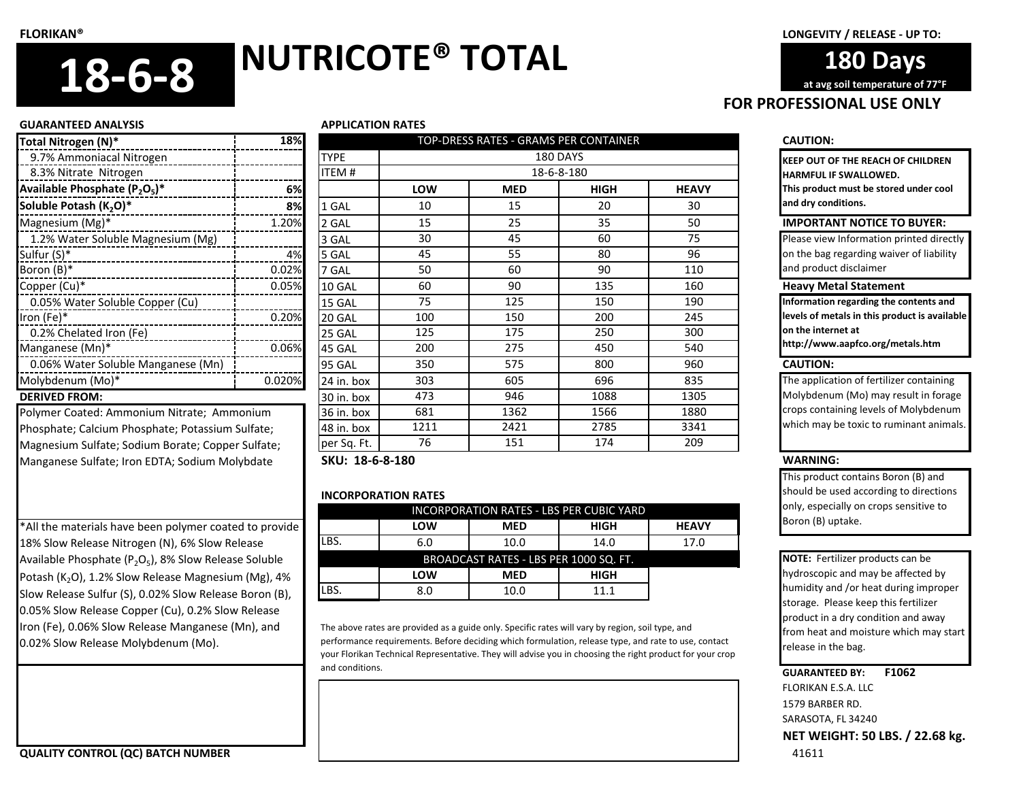**FOR PROFESSIONAL USE ONLY 180 Days at avg soil temperature of 77°F**

#### **GUARANTEED ANALYSIS APPLICATION RATES**

| Total Nitrogen (N)*                | 18%    |             |
|------------------------------------|--------|-------------|
| 9.7% Ammoniacal Nitrogen           |        | <b>TYPE</b> |
| 8.3% Nitrate Nitrogen              |        | ITEM #      |
| Available Phosphate $(P_2O_5)^*$   | 6%     |             |
| Soluble Potash (K <sub>2</sub> O)* | 8%     | 1 GAL       |
| Magnesium (Mg)*                    | 1.20%  | 2 GAL       |
| 1.2% Water Soluble Magnesium (Mg)  |        | 3 GAL       |
| Sulfur (S)*                        | 4%     | 5 GAL       |
| Boron (B)*                         | 0.02%  | 7 GAL       |
| Copper (Cu)*                       | 0.05%  | 10 GAL      |
| 0.05% Water Soluble Copper (Cu)    |        | 15 GAL      |
| Iron (Fe)*                         | 0.20%  | 20 GAL      |
| 0.2% Chelated Iron (Fe)            |        | 25 GAL      |
| Manganese (Mn)*                    | 0.06%  | 45 GAL      |
| 0.06% Water Soluble Manganese (Mn) |        | 95 GAL      |
| Molybdenum (Mo)*                   | 0.020% | 24 in. box  |
| <b>DERIVED FROM:</b>               |        | 30 in. hox  |

Manganese Sulfate; Iron EDTA; Sodium Molybdate

\*All the materials have been polymer coated to provide 18% Slow Release Nitrogen (N), 6% Slow Release Available Phosphate ( $P_2O_5$ ), 8% Slow Release Soluble Potash (K<sub>2</sub>O), 1.2% Slow Release Magnesium (Mg), 4% Slow Release Sulfur (S), 0.02% Slow Release Boron (B), 0.05% Slow Release Copper (Cu), 0.2% Slow Release Iron (Fe), 0.06% Slow Release Manganese (Mn), and 0.02% Slow Release Molybdenum (Mo).

| Total Nitrogen (N)*                               | 18%    |                 | TOP-DRESS RATES - GRAMS PER CONTAINER |            |             |              |                    |
|---------------------------------------------------|--------|-----------------|---------------------------------------|------------|-------------|--------------|--------------------|
| 9.7% Ammoniacal Nitrogen                          |        | <b>TYPE</b>     |                                       |            | 180 DAYS    |              | <b>KEEP OUT OF</b> |
| 8.3% Nitrate Nitrogen                             |        | <b>ITEM#</b>    |                                       |            | 18-6-8-180  |              | <b>HARMFUL IF:</b> |
| Available Phosphate $(P_2O_5)^*$                  | 6%l    |                 | LOW                                   | <b>MED</b> | <b>HIGH</b> | <b>HEAVY</b> | This product       |
| Soluble Potash (K <sub>2</sub> O)*                | 8%     | 1 GAL           | 10                                    | 15         | 20          | 30           | and dry cond       |
| Magnesium (Mg)*                                   | 1.20%  | 2 GAL           | 15                                    | 25         | 35          | 50           | <b>IMPORTAN</b>    |
| 1.2% Water Soluble Magnesium (Mg)                 |        | 3 GAL           | 30                                    | 45         | 60          | 75           | Please view I      |
| Sulfur (S)*                                       | 4%     | 5 GAL           | 45                                    | 55         | 80          | 96           | on the bag re      |
| Boron (B)*<br>-------------------------           | 0.02%  | 7 GAL           | 50                                    | 60         | 90          | 110          | and product        |
| Copper (Cu)*                                      | 0.05%  | 10 GAL          | 60                                    | 90         | 135         | 160          | <b>Heavy Met</b>   |
| 0.05% Water Soluble Copper (Cu)                   |        | 15 GAL          | 75                                    | 125        | 150         | 190          | Information i      |
| Iron (Fe)*                                        | 0.20%  | 20 GAL          | 100                                   | 150        | 200         | 245          | levels of met      |
| 0.2% Chelated Iron (Fe)                           |        | 25 GAL          | 125                                   | 175        | 250         | 300          | on the intern      |
| Manganese (Mn)*                                   | 0.06%  | 45 GAL          | 200                                   | 275        | 450         | 540          | http://www.        |
| 0.06% Water Soluble Manganese (Mn)                |        | 95 GAL          | 350                                   | 575        | 800         | 960          | <b>CAUTION:</b>    |
| Molybdenum (Mo)*                                  | 0.020% | 24 in. box      | 303                                   | 605        | 696         | 835          | The applicati      |
| <b>DERIVED FROM:</b>                              |        | 30 in. box      | 473                                   | 946        | 1088        | 1305         | Molybdenun         |
| Polymer Coated: Ammonium Nitrate; Ammonium        |        | 36 in. box      | 681                                   | 1362       | 1566        | 1880         | crops contai       |
| Phosphate; Calcium Phosphate; Potassium Sulfate;  |        | 48 in. box      | 1211                                  | 2421       | 2785        | 3341         | which may b        |
| Magnesium Sulfate; Sodium Borate; Copper Sulfate; |        | per Sq. Ft.     | 76                                    | 151        | 174         | 209          |                    |
| Manganese Sulfate: Iron EDTA: Sodium Molvbdate    |        | SKU: 18-6-8-180 |                                       |            |             |              | <b>WARNING:</b>    |

## **INCORPORATION RATES**

| <b>INCORPORATION RATES - LBS PER CUBIC YARD</b> |            |            |             |              |  |  |
|-------------------------------------------------|------------|------------|-------------|--------------|--|--|
|                                                 | <b>LOW</b> | <b>MED</b> | <b>HIGH</b> | <b>HEAVY</b> |  |  |
| LBS.                                            | 6.0        | 10.0       | 14.0        | 17.0         |  |  |
| BROADCAST RATES - LBS PER 1000 SQ. FT.          |            |            |             |              |  |  |
|                                                 | <b>LOW</b> | <b>MED</b> | <b>HIGH</b> |              |  |  |
| LBS.                                            | 8.0        | 10.0       | 11.1        |              |  |  |

The above rates are provided as a guide only. Specific rates will vary by region, soil type, and performance requirements. Before deciding which formulation, release type, and rate to use, contact your Florikan Technical Representative. They will advise you in choosing the right product for your crop and conditions.

**KEEP OUT OF THE REACH OF CHILDREN HARMFUL IF SWALLOWED. This product must be stored under cool and dry conditions.**

## **IMPORTANT NOTICE TO BUYER:**

Please view Information printed directly on the bag regarding waiver of liability and product disclaimer

## **Heavy Metal Statement**

**Information regarding the contents and levels of metals in this product is available on the internet at** 

**http://www.aapfco.org/metals.htm**

The application of fertilizer containing Molybdenum (Mo) may result in forage crops containing levels of Molybdenum which may be toxic to ruminant animals.

This product contains Boron (B) and should be used according to directions only, especially on crops sensitive to Boron (B) uptake.

**NOTE:** Fertilizer products can be hydroscopic and may be affected by humidity and /or heat during improper storage. Please keep this fertilizer product in a dry condition and away from heat and moisture which may start release in the bag.

## **GUARANTEED BY: F1062**

FLORIKAN E.S.A. LLC 1579 BARBER RD. SARASOTA, FL 34240 **NET WEIGHT: 50 LBS. / 22.68 kg.**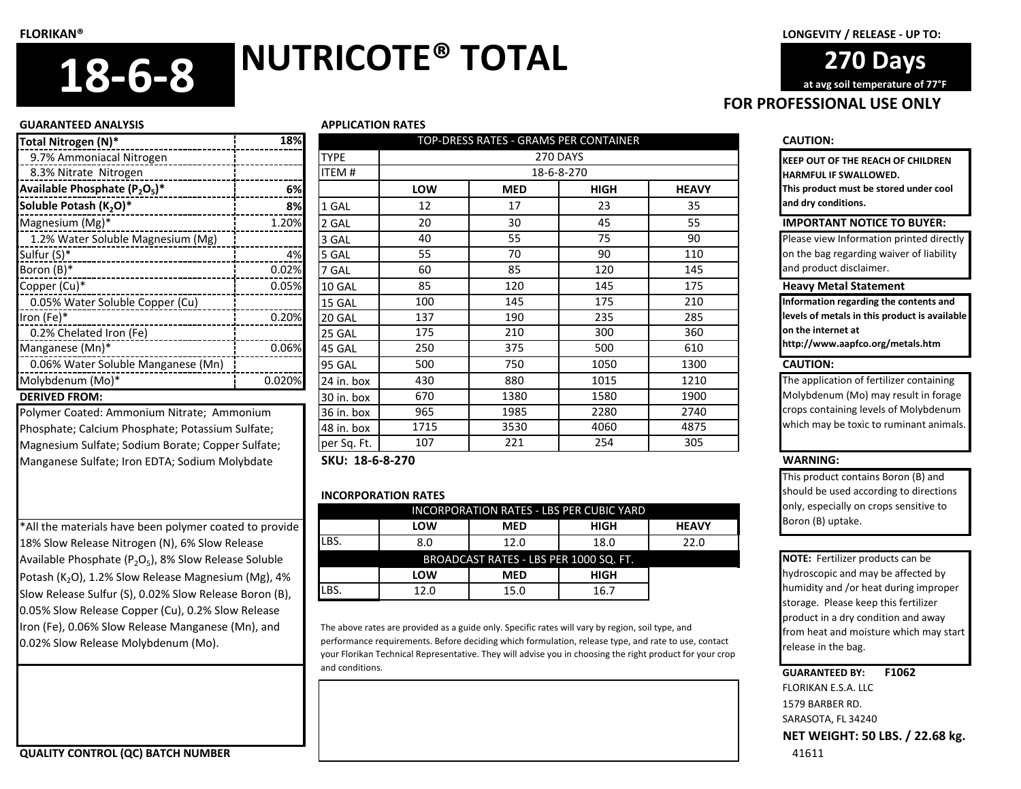**270 Days** 

**FOR PROFESSIONAL USE ONLY at avg soil temperature of 77°F**

#### **GUARANTEED ANALYSIS APPLICATION RATES**

| Total Nitrogen (N)*                | 18%    |            |
|------------------------------------|--------|------------|
| 9.7% Ammoniacal Nitrogen           |        | TYPE       |
| 8.3% Nitrate Nitrogen              |        | ITEM #     |
| Available Phosphate $(P_2O_5)^*$   | 6%     |            |
| Soluble Potash (K <sub>2</sub> O)* | 8%     | 1 GAL      |
| Magnesium (Mg)*                    | 1.20%  | 2 GAL      |
| 1.2% Water Soluble Magnesium (Mg)  |        | 3 GAL      |
| Sulfur (S)*                        | 4%     | 5 GAL      |
| Boron (B)*                         | 0.02%  | 7 GAL      |
| Copper (Cu)*                       | 0.05%  | 10 GAL     |
| 0.05% Water Soluble Copper (Cu)    |        | 15 GAL     |
| Iron (Fe)*                         | 0.20%  | 20 GAL     |
| 0.2% Chelated Iron (Fe)            |        | 25 GAL     |
| Manganese (Mn)*                    | 0.06%  | 45 GAL     |
| 0.06% Water Soluble Manganese (Mn) |        | 95 GAL     |
| Molybdenum (Mo)*                   | 0.020% | 24 in. box |
|                                    |        |            |

Polymer Coated: Ammonium Nitrate; Ammonium Phosphate; Calcium Phosphate; Potassium Sulfate; Magnesium Sulfate; Sodium Borate; Copper Sulfate; Manganese Sulfate; Iron EDTA; Sodium Molybdate

\*All the materials have been polymer coated to provide 18% Slow Release Nitrogen (N), 6% Slow Release Available Phosphate ( $P_2O_5$ ), 8% Slow Release Soluble Potash (K<sub>2</sub>O), 1.2% Slow Release Magnesium (Mg), 4% Slow Release Sulfur (S), 0.02% Slow Release Boron (B), 0.05% Slow Release Copper (Cu), 0.2% Slow Release Iron (Fe), 0.06% Slow Release Manganese (Mn), and 0.02% Slow Release Molybdenum (Mo).

| Total Nitrogen (N)*                               | 18%    | TOP-DRESS RATES - GRAMS PER CONTAINER |      |            |             |              | <b>CAUTION:</b>    |
|---------------------------------------------------|--------|---------------------------------------|------|------------|-------------|--------------|--------------------|
| 9.7% Ammoniacal Nitrogen                          |        | <b>TYPE</b><br>270 DAYS               |      |            |             |              | <b>KEEP OUT OF</b> |
| 8.3% Nitrate Nitrogen                             |        | <b>ITEM#</b>                          |      | 18-6-8-270 |             |              | <b>HARMFUL IF:</b> |
| Available Phosphate $(P_2O_5)^*$                  | 6%l    |                                       | LOW  | <b>MED</b> | <b>HIGH</b> | <b>HEAVY</b> | This product       |
| Soluble Potash (K <sub>2</sub> O)*                | 8%     | 1 GAL                                 | 12   | 17         | 23          | 35           | and dry cond       |
| Magnesium (Mg)*                                   | 1.20%  | 2 GAL                                 | 20   | 30         | 45          | 55           | <b>IMPORTAN</b>    |
| 1.2% Water Soluble Magnesium (Mg)                 |        | 3 GAL                                 | 40   | 55         | 75          | 90           | Please view I      |
| Sulfur (S)*                                       | 4%     | 5 GAL                                 | 55   | 70         | 90          | 110          | on the bag re      |
| Boron (B)*<br>-------------------------           | 0.02%  | 7 GAL                                 | 60   | 85         | 120         | 145          | and product        |
| Copper (Cu)*                                      | 0.05%  | 10 GAL                                | 85   | 120        | 145         | 175          | <b>Heavy Met</b>   |
| 0.05% Water Soluble Copper (Cu)                   |        | 15 GAL                                | 100  | 145        | 175         | 210          | Information i      |
| Iron (Fe)*                                        | 0.20%  | 20 GAL                                | 137  | 190        | 235         | 285          | levels of met      |
| 0.2% Chelated Iron (Fe)                           |        | 25 GAL                                | 175  | 210        | 300         | 360          | on the intern      |
| Manganese (Mn)*                                   | 0.06%  | 45 GAL                                | 250  | 375        | 500         | 610          | http://www.        |
| 0.06% Water Soluble Manganese (Mn)                |        | 95 GAL                                | 500  | 750        | 1050        | 1300         | <b>CAUTION:</b>    |
| Molybdenum (Mo)*                                  | 0.020% | 24 in. box                            | 430  | 880        | 1015        | 1210         | The applicati      |
| <b>DERIVED FROM:</b>                              |        | 30 in. box                            | 670  | 1380       | 1580        | 1900         | Molybdenun         |
| Polymer Coated: Ammonium Nitrate; Ammonium        |        | 36 in. box                            | 965  | 1985       | 2280        | 2740         | crops contai       |
| Phosphate; Calcium Phosphate; Potassium Sulfate;  |        | 48 in. box                            | 1715 | 3530       | 4060        | 4875         | which may b        |
| Magnesium Sulfate; Sodium Borate; Copper Sulfate; |        | per Sq. Ft.                           | 107  | 221        | 254         | 305          |                    |
| Manganese Sulfate: Iron EDTA: Sodium Molvbdate    |        | SKU: 18-6-8-270                       |      |            |             |              | <b>WARNING:</b>    |

## **INCORPORATION RATES**

| <b>INCORPORATION RATES - LBS PER CUBIC YARD</b> |            |            |             |              |  |  |
|-------------------------------------------------|------------|------------|-------------|--------------|--|--|
|                                                 | <b>LOW</b> | <b>MED</b> | HIGH        | <b>HEAVY</b> |  |  |
| LBS.                                            | 8.0        | 12.0       | 18.0        | 22.0         |  |  |
| BROADCAST RATES - LBS PER 1000 SQ. FT.          |            |            |             |              |  |  |
|                                                 | LOW        | <b>MED</b> | <b>HIGH</b> |              |  |  |
| LBS.                                            | 12.0       | 15.0       | 16.7        |              |  |  |

The above rates are provided as a guide only. Specific rates will vary by region, soil type, and performance requirements. Before deciding which formulation, release type, and rate to use, contact your Florikan Technical Representative. They will advise you in choosing the right product for your crop and conditions.

**KEEP OUT OF THE REACH OF CHILDREN HARMFUL IF SWALLOWED. This product must be stored under cool and dry conditions.**

## **IMPORTANT NOTICE TO BUYER:**

Please view Information printed directly on the bag regarding waiver of liability and product disclaimer.

## **Heavy Metal Statement**

**Information regarding the contents and levels of metals in this product is available on the internet at** 

**http://www.aapfco.org/metals.htm**

The application of fertilizer containing Molybdenum (Mo) may result in forage crops containing levels of Molybdenum which may be toxic to ruminant animals.

This product contains Boron (B) and should be used according to directions only, especially on crops sensitive to Boron (B) uptake.

**NOTE:** Fertilizer products can be hydroscopic and may be affected by humidity and /or heat during improper storage. Please keep this fertilizer product in a dry condition and away from heat and moisture which may start release in the bag.

## **GUARANTEED BY: F1062**

FLORIKAN E.S.A. LLC 1579 BARBER RD. SARASOTA, FL 34240 **NET WEIGHT: 50 LBS. / 22.68 kg.**